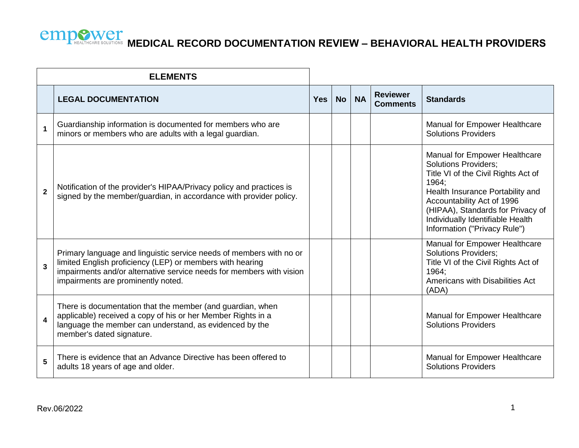| <b>ELEMENTS</b>         |                                                                                                                                                                                                                                                |            |           |           |                                    |                                                                                                                                                                                                                                                                                         |
|-------------------------|------------------------------------------------------------------------------------------------------------------------------------------------------------------------------------------------------------------------------------------------|------------|-----------|-----------|------------------------------------|-----------------------------------------------------------------------------------------------------------------------------------------------------------------------------------------------------------------------------------------------------------------------------------------|
|                         | <b>LEGAL DOCUMENTATION</b>                                                                                                                                                                                                                     | <b>Yes</b> | <b>No</b> | <b>NA</b> | <b>Reviewer</b><br><b>Comments</b> | <b>Standards</b>                                                                                                                                                                                                                                                                        |
| $\mathbf 1$             | Guardianship information is documented for members who are<br>minors or members who are adults with a legal guardian.                                                                                                                          |            |           |           |                                    | Manual for Empower Healthcare<br><b>Solutions Providers</b>                                                                                                                                                                                                                             |
| $\overline{2}$          | Notification of the provider's HIPAA/Privacy policy and practices is<br>signed by the member/guardian, in accordance with provider policy.                                                                                                     |            |           |           |                                    | Manual for Empower Healthcare<br><b>Solutions Providers;</b><br>Title VI of the Civil Rights Act of<br>1964:<br>Health Insurance Portability and<br>Accountability Act of 1996<br>(HIPAA), Standards for Privacy of<br>Individually Identifiable Health<br>Information ("Privacy Rule") |
| $\overline{3}$          | Primary language and linguistic service needs of members with no or<br>limited English proficiency (LEP) or members with hearing<br>impairments and/or alternative service needs for members with vision<br>impairments are prominently noted. |            |           |           |                                    | Manual for Empower Healthcare<br><b>Solutions Providers;</b><br>Title VI of the Civil Rights Act of<br>1964;<br>Americans with Disabilities Act<br>(ADA)                                                                                                                                |
| $\overline{\mathbf{4}}$ | There is documentation that the member (and guardian, when<br>applicable) received a copy of his or her Member Rights in a<br>language the member can understand, as evidenced by the<br>member's dated signature.                             |            |           |           |                                    | Manual for Empower Healthcare<br><b>Solutions Providers</b>                                                                                                                                                                                                                             |
| 5                       | There is evidence that an Advance Directive has been offered to<br>adults 18 years of age and older.                                                                                                                                           |            |           |           |                                    | Manual for Empower Healthcare<br><b>Solutions Providers</b>                                                                                                                                                                                                                             |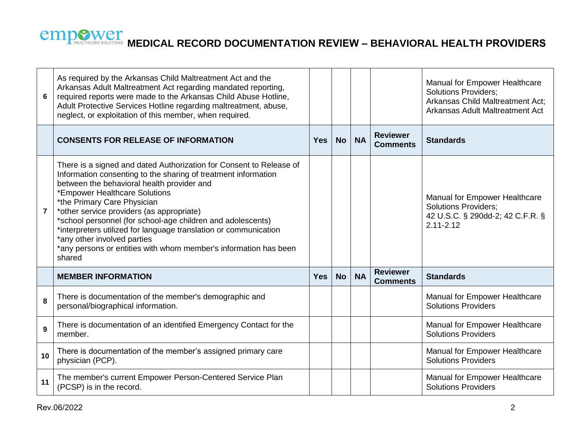| $6\phantom{1}6$ | As required by the Arkansas Child Maltreatment Act and the<br>Arkansas Adult Maltreatment Act regarding mandated reporting,<br>required reports were made to the Arkansas Child Abuse Hotline,<br>Adult Protective Services Hotline regarding maltreatment, abuse,<br>neglect, or exploitation of this member, when required.                                                                                                                                                                                                                    |            |           |           |                                    | Manual for Empower Healthcare<br><b>Solutions Providers;</b><br>Arkansas Child Maltreatment Act;<br>Arkansas Adult Maltreatment Act |
|-----------------|--------------------------------------------------------------------------------------------------------------------------------------------------------------------------------------------------------------------------------------------------------------------------------------------------------------------------------------------------------------------------------------------------------------------------------------------------------------------------------------------------------------------------------------------------|------------|-----------|-----------|------------------------------------|-------------------------------------------------------------------------------------------------------------------------------------|
|                 | <b>CONSENTS FOR RELEASE OF INFORMATION</b>                                                                                                                                                                                                                                                                                                                                                                                                                                                                                                       | <b>Yes</b> | <b>No</b> | <b>NA</b> | <b>Reviewer</b><br><b>Comments</b> | <b>Standards</b>                                                                                                                    |
| $\overline{7}$  | There is a signed and dated Authorization for Consent to Release of<br>Information consenting to the sharing of treatment information<br>between the behavioral health provider and<br>*Empower Healthcare Solutions<br>*the Primary Care Physician<br>*other service providers (as appropriate)<br>*school personnel (for school-age children and adolescents)<br>*interpreters utilized for language translation or communication<br>*any other involved parties<br>*any persons or entities with whom member's information has been<br>shared |            |           |           |                                    | Manual for Empower Healthcare<br><b>Solutions Providers;</b><br>42 U.S.C. § 290dd-2; 42 C.F.R. §<br>$2.11 - 2.12$                   |
|                 | <b>MEMBER INFORMATION</b>                                                                                                                                                                                                                                                                                                                                                                                                                                                                                                                        | <b>Yes</b> | <b>No</b> | <b>NA</b> | <b>Reviewer</b><br><b>Comments</b> | <b>Standards</b>                                                                                                                    |
| 8               | There is documentation of the member's demographic and<br>personal/biographical information.                                                                                                                                                                                                                                                                                                                                                                                                                                                     |            |           |           |                                    | Manual for Empower Healthcare<br><b>Solutions Providers</b>                                                                         |
| 9               | There is documentation of an identified Emergency Contact for the<br>member.                                                                                                                                                                                                                                                                                                                                                                                                                                                                     |            |           |           |                                    | Manual for Empower Healthcare<br><b>Solutions Providers</b>                                                                         |
| 10              | There is documentation of the member's assigned primary care<br>physician (PCP).                                                                                                                                                                                                                                                                                                                                                                                                                                                                 |            |           |           |                                    | Manual for Empower Healthcare<br><b>Solutions Providers</b>                                                                         |
| 11              | The member's current Empower Person-Centered Service Plan<br>(PCSP) is in the record.                                                                                                                                                                                                                                                                                                                                                                                                                                                            |            |           |           |                                    | Manual for Empower Healthcare<br><b>Solutions Providers</b>                                                                         |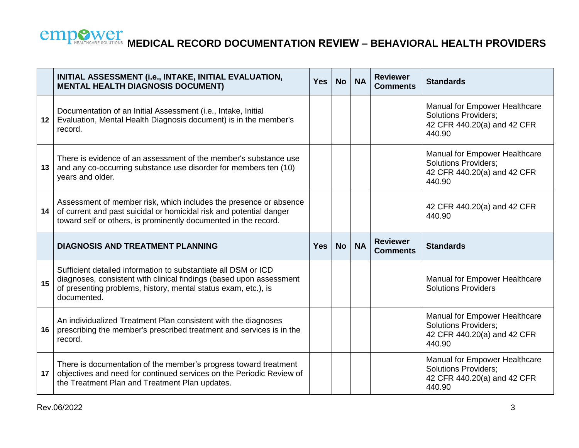

|                 | INITIAL ASSESSMENT (i.e., INTAKE, INITIAL EVALUATION,<br><b>MENTAL HEALTH DIAGNOSIS DOCUMENT)</b>                                                                                                                      | <b>Yes</b> | <b>No</b> | <b>NA</b> | <b>Reviewer</b><br><b>Comments</b> | <b>Standards</b>                                                                                      |
|-----------------|------------------------------------------------------------------------------------------------------------------------------------------------------------------------------------------------------------------------|------------|-----------|-----------|------------------------------------|-------------------------------------------------------------------------------------------------------|
| 12 <sub>2</sub> | Documentation of an Initial Assessment (i.e., Intake, Initial<br>Evaluation, Mental Health Diagnosis document) is in the member's<br>record.                                                                           |            |           |           |                                    | Manual for Empower Healthcare<br><b>Solutions Providers;</b><br>42 CFR 440.20(a) and 42 CFR<br>440.90 |
| 13              | There is evidence of an assessment of the member's substance use<br>and any co-occurring substance use disorder for members ten (10)<br>years and older.                                                               |            |           |           |                                    | Manual for Empower Healthcare<br><b>Solutions Providers;</b><br>42 CFR 440.20(a) and 42 CFR<br>440.90 |
| 14              | Assessment of member risk, which includes the presence or absence<br>of current and past suicidal or homicidal risk and potential danger<br>toward self or others, is prominently documented in the record.            |            |           |           |                                    | 42 CFR 440.20(a) and 42 CFR<br>440.90                                                                 |
|                 |                                                                                                                                                                                                                        |            |           |           |                                    |                                                                                                       |
|                 | <b>DIAGNOSIS AND TREATMENT PLANNING</b>                                                                                                                                                                                | <b>Yes</b> | <b>No</b> | <b>NA</b> | <b>Reviewer</b><br><b>Comments</b> | <b>Standards</b>                                                                                      |
| 15              | Sufficient detailed information to substantiate all DSM or ICD<br>diagnoses, consistent with clinical findings (based upon assessment<br>of presenting problems, history, mental status exam, etc.), is<br>documented. |            |           |           |                                    | Manual for Empower Healthcare<br><b>Solutions Providers</b>                                           |
| 16              | An individualized Treatment Plan consistent with the diagnoses<br>prescribing the member's prescribed treatment and services is in the<br>record.                                                                      |            |           |           |                                    | Manual for Empower Healthcare<br>Solutions Providers;<br>42 CFR 440.20(a) and 42 CFR<br>440.90        |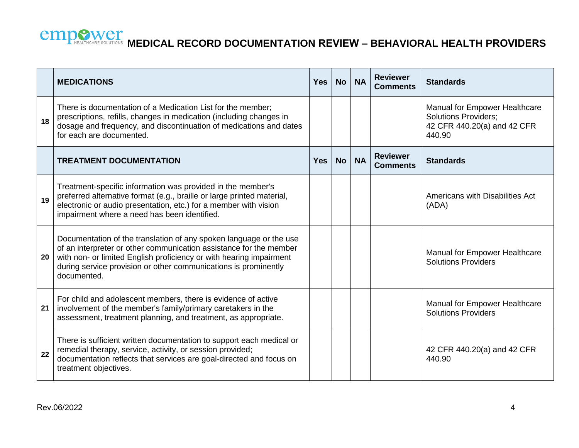|    | <b>MEDICATIONS</b>                                                                                                                                                                                                                                                                                | <b>Yes</b> | <b>No</b> | <b>NA</b> | <b>Reviewer</b><br><b>Comments</b> | <b>Standards</b>                                                                                      |
|----|---------------------------------------------------------------------------------------------------------------------------------------------------------------------------------------------------------------------------------------------------------------------------------------------------|------------|-----------|-----------|------------------------------------|-------------------------------------------------------------------------------------------------------|
| 18 | There is documentation of a Medication List for the member;<br>prescriptions, refills, changes in medication (including changes in<br>dosage and frequency, and discontinuation of medications and dates<br>for each are documented.                                                              |            |           |           |                                    | Manual for Empower Healthcare<br><b>Solutions Providers;</b><br>42 CFR 440.20(a) and 42 CFR<br>440.90 |
|    | <b>TREATMENT DOCUMENTATION</b>                                                                                                                                                                                                                                                                    | <b>Yes</b> | <b>No</b> | <b>NA</b> | <b>Reviewer</b><br><b>Comments</b> | <b>Standards</b>                                                                                      |
| 19 | Treatment-specific information was provided in the member's<br>preferred alternative format (e.g., braille or large printed material,<br>electronic or audio presentation, etc.) for a member with vision<br>impairment where a need has been identified.                                         |            |           |           |                                    | Americans with Disabilities Act<br>(ADA)                                                              |
| 20 | Documentation of the translation of any spoken language or the use<br>of an interpreter or other communication assistance for the member<br>with non- or limited English proficiency or with hearing impairment<br>during service provision or other communications is prominently<br>documented. |            |           |           |                                    | Manual for Empower Healthcare<br><b>Solutions Providers</b>                                           |
| 21 | For child and adolescent members, there is evidence of active<br>involvement of the member's family/primary caretakers in the<br>assessment, treatment planning, and treatment, as appropriate.                                                                                                   |            |           |           |                                    | Manual for Empower Healthcare<br><b>Solutions Providers</b>                                           |
| 22 | There is sufficient written documentation to support each medical or<br>remedial therapy, service, activity, or session provided;<br>documentation reflects that services are goal-directed and focus on<br>treatment objectives.                                                                 |            |           |           |                                    | 42 CFR 440.20(a) and 42 CFR<br>440.90                                                                 |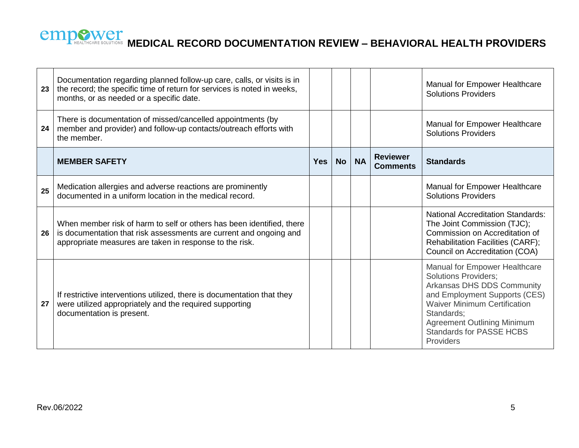| 23 | Documentation regarding planned follow-up care, calls, or visits is in<br>the record; the specific time of return for services is noted in weeks,<br>months, or as needed or a specific date.          |            |           |           |                                    | Manual for Empower Healthcare<br><b>Solutions Providers</b>                                                                                                                                                                                                                   |
|----|--------------------------------------------------------------------------------------------------------------------------------------------------------------------------------------------------------|------------|-----------|-----------|------------------------------------|-------------------------------------------------------------------------------------------------------------------------------------------------------------------------------------------------------------------------------------------------------------------------------|
| 24 | There is documentation of missed/cancelled appointments (by<br>member and provider) and follow-up contacts/outreach efforts with<br>the member.                                                        |            |           |           |                                    | Manual for Empower Healthcare<br><b>Solutions Providers</b>                                                                                                                                                                                                                   |
|    | <b>MEMBER SAFETY</b>                                                                                                                                                                                   | <b>Yes</b> | <b>No</b> | <b>NA</b> | <b>Reviewer</b><br><b>Comments</b> | <b>Standards</b>                                                                                                                                                                                                                                                              |
| 25 | Medication allergies and adverse reactions are prominently<br>documented in a uniform location in the medical record.                                                                                  |            |           |           |                                    | Manual for Empower Healthcare<br><b>Solutions Providers</b>                                                                                                                                                                                                                   |
| 26 | When member risk of harm to self or others has been identified, there<br>is documentation that risk assessments are current and ongoing and<br>appropriate measures are taken in response to the risk. |            |           |           |                                    | <b>National Accreditation Standards:</b><br>The Joint Commission (TJC);<br>Commission on Accreditation of<br>Rehabilitation Facilities (CARF);<br>Council on Accreditation (COA)                                                                                              |
| 27 | If restrictive interventions utilized, there is documentation that they<br>were utilized appropriately and the required supporting<br>documentation is present.                                        |            |           |           |                                    | Manual for Empower Healthcare<br><b>Solutions Providers:</b><br>Arkansas DHS DDS Community<br>and Employment Supports (CES)<br><b>Waiver Minimum Certification</b><br>Standards;<br><b>Agreement Outlining Minimum</b><br><b>Standards for PASSE HCBS</b><br><b>Providers</b> |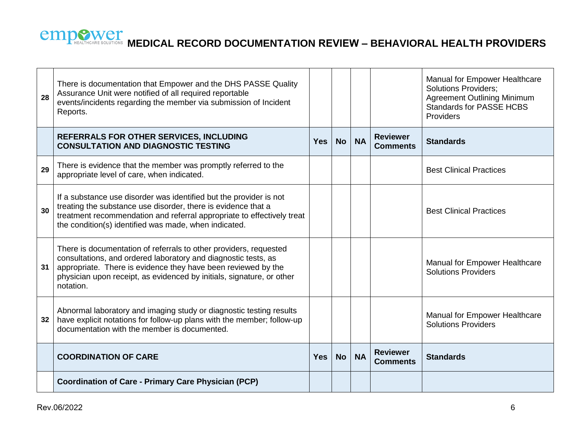| 28              | There is documentation that Empower and the DHS PASSE Quality<br>Assurance Unit were notified of all required reportable<br>events/incidents regarding the member via submission of Incident<br>Reports.                                                                                   |            |           |           |                                    | Manual for Empower Healthcare<br><b>Solutions Providers;</b><br><b>Agreement Outlining Minimum</b><br><b>Standards for PASSE HCBS</b><br>Providers |
|-----------------|--------------------------------------------------------------------------------------------------------------------------------------------------------------------------------------------------------------------------------------------------------------------------------------------|------------|-----------|-----------|------------------------------------|----------------------------------------------------------------------------------------------------------------------------------------------------|
|                 | REFERRALS FOR OTHER SERVICES, INCLUDING<br><b>CONSULTATION AND DIAGNOSTIC TESTING</b>                                                                                                                                                                                                      | <b>Yes</b> | <b>No</b> | <b>NA</b> | <b>Reviewer</b><br><b>Comments</b> | <b>Standards</b>                                                                                                                                   |
| 29              | There is evidence that the member was promptly referred to the<br>appropriate level of care, when indicated.                                                                                                                                                                               |            |           |           |                                    | <b>Best Clinical Practices</b>                                                                                                                     |
| 30              | If a substance use disorder was identified but the provider is not<br>treating the substance use disorder, there is evidence that a<br>treatment recommendation and referral appropriate to effectively treat<br>the condition(s) identified was made, when indicated.                     |            |           |           |                                    | <b>Best Clinical Practices</b>                                                                                                                     |
| 31              | There is documentation of referrals to other providers, requested<br>consultations, and ordered laboratory and diagnostic tests, as<br>appropriate. There is evidence they have been reviewed by the<br>physician upon receipt, as evidenced by initials, signature, or other<br>notation. |            |           |           |                                    | Manual for Empower Healthcare<br><b>Solutions Providers</b>                                                                                        |
| 32 <sub>2</sub> | Abnormal laboratory and imaging study or diagnostic testing results<br>have explicit notations for follow-up plans with the member; follow-up<br>documentation with the member is documented.                                                                                              |            |           |           |                                    | Manual for Empower Healthcare<br><b>Solutions Providers</b>                                                                                        |
|                 | <b>COORDINATION OF CARE</b>                                                                                                                                                                                                                                                                | <b>Yes</b> | <b>No</b> | <b>NA</b> | <b>Reviewer</b><br><b>Comments</b> | <b>Standards</b>                                                                                                                                   |
|                 | <b>Coordination of Care - Primary Care Physician (PCP)</b>                                                                                                                                                                                                                                 |            |           |           |                                    |                                                                                                                                                    |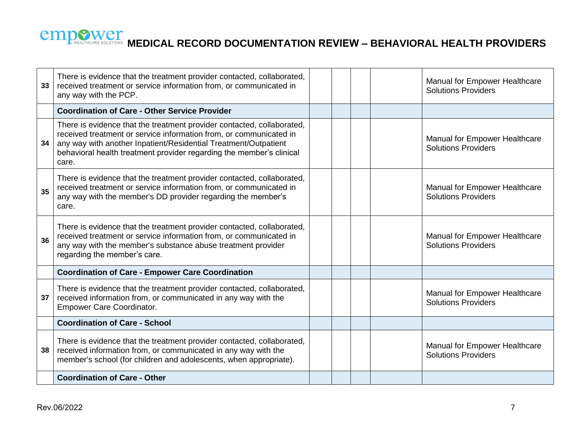| 33 | There is evidence that the treatment provider contacted, collaborated,<br>received treatment or service information from, or communicated in<br>any way with the PCP.                                                                                                                            |  |  | Manual for Empower Healthcare<br><b>Solutions Providers</b> |
|----|--------------------------------------------------------------------------------------------------------------------------------------------------------------------------------------------------------------------------------------------------------------------------------------------------|--|--|-------------------------------------------------------------|
|    | <b>Coordination of Care - Other Service Provider</b>                                                                                                                                                                                                                                             |  |  |                                                             |
| 34 | There is evidence that the treatment provider contacted, collaborated,<br>received treatment or service information from, or communicated in<br>any way with another Inpatient/Residential Treatment/Outpatient<br>behavioral health treatment provider regarding the member's clinical<br>care. |  |  | Manual for Empower Healthcare<br><b>Solutions Providers</b> |
| 35 | There is evidence that the treatment provider contacted, collaborated,<br>received treatment or service information from, or communicated in<br>any way with the member's DD provider regarding the member's<br>care.                                                                            |  |  | Manual for Empower Healthcare<br><b>Solutions Providers</b> |
| 36 | There is evidence that the treatment provider contacted, collaborated,<br>received treatment or service information from, or communicated in<br>any way with the member's substance abuse treatment provider<br>regarding the member's care.                                                     |  |  | Manual for Empower Healthcare<br><b>Solutions Providers</b> |
|    | <b>Coordination of Care - Empower Care Coordination</b>                                                                                                                                                                                                                                          |  |  |                                                             |
| 37 | There is evidence that the treatment provider contacted, collaborated,<br>received information from, or communicated in any way with the<br><b>Empower Care Coordinator.</b>                                                                                                                     |  |  | Manual for Empower Healthcare<br><b>Solutions Providers</b> |
|    | <b>Coordination of Care - School</b>                                                                                                                                                                                                                                                             |  |  |                                                             |
| 38 | There is evidence that the treatment provider contacted, collaborated,<br>received information from, or communicated in any way with the<br>member's school (for children and adolescents, when appropriate).                                                                                    |  |  | Manual for Empower Healthcare<br><b>Solutions Providers</b> |
|    | <b>Coordination of Care - Other</b>                                                                                                                                                                                                                                                              |  |  |                                                             |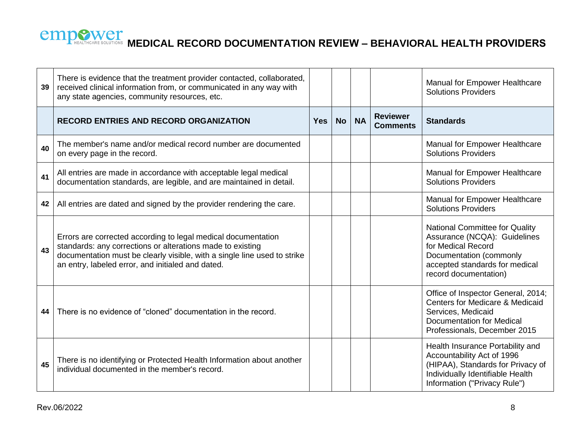| 39 | There is evidence that the treatment provider contacted, collaborated,<br>received clinical information from, or communicated in any way with<br>any state agencies, community resources, etc.                                                               |            |           |           |                                    | Manual for Empower Healthcare<br><b>Solutions Providers</b>                                                                                                                |
|----|--------------------------------------------------------------------------------------------------------------------------------------------------------------------------------------------------------------------------------------------------------------|------------|-----------|-----------|------------------------------------|----------------------------------------------------------------------------------------------------------------------------------------------------------------------------|
|    | <b>RECORD ENTRIES AND RECORD ORGANIZATION</b>                                                                                                                                                                                                                | <b>Yes</b> | <b>No</b> | <b>NA</b> | <b>Reviewer</b><br><b>Comments</b> | <b>Standards</b>                                                                                                                                                           |
| 40 | The member's name and/or medical record number are documented<br>on every page in the record.                                                                                                                                                                |            |           |           |                                    | Manual for Empower Healthcare<br><b>Solutions Providers</b>                                                                                                                |
| 41 | All entries are made in accordance with acceptable legal medical<br>documentation standards, are legible, and are maintained in detail.                                                                                                                      |            |           |           |                                    | Manual for Empower Healthcare<br><b>Solutions Providers</b>                                                                                                                |
| 42 | All entries are dated and signed by the provider rendering the care.                                                                                                                                                                                         |            |           |           |                                    | Manual for Empower Healthcare<br><b>Solutions Providers</b>                                                                                                                |
| 43 | Errors are corrected according to legal medical documentation<br>standards: any corrections or alterations made to existing<br>documentation must be clearly visible, with a single line used to strike<br>an entry, labeled error, and initialed and dated. |            |           |           |                                    | National Committee for Quality<br>Assurance (NCQA): Guidelines<br>for Medical Record<br>Documentation (commonly<br>accepted standards for medical<br>record documentation) |
| 44 | There is no evidence of "cloned" documentation in the record.                                                                                                                                                                                                |            |           |           |                                    | Office of Inspector General, 2014;<br><b>Centers for Medicare &amp; Medicaid</b><br>Services, Medicaid<br><b>Documentation for Medical</b><br>Professionals, December 2015 |
| 45 | There is no identifying or Protected Health Information about another<br>individual documented in the member's record.                                                                                                                                       |            |           |           |                                    | Health Insurance Portability and<br>Accountability Act of 1996<br>(HIPAA), Standards for Privacy of<br>Individually Identifiable Health<br>Information ("Privacy Rule")    |